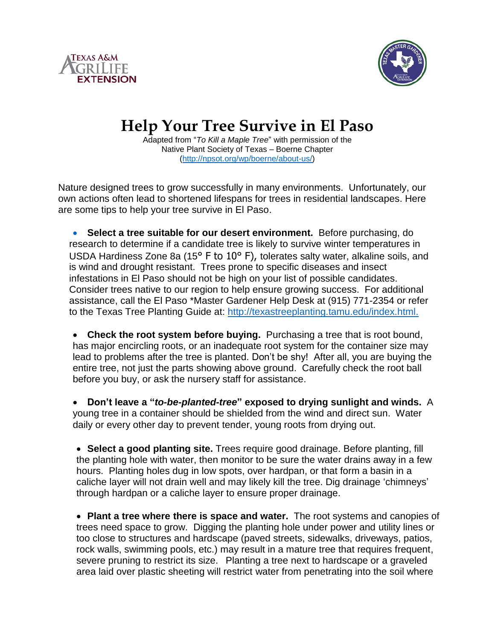



## **Help Your Tree Survive in El Paso**

Adapted from "*To Kill a Maple Tree*" with permission of the Native Plant Society of Texas – Boerne Chapter [\(http://npsot.org/wp/boerne/about-us/\)](http://npsot.org/wp/boerne/about-us/)

Nature designed trees to grow successfully in many environments. Unfortunately, our own actions often lead to shortened lifespans for trees in residential landscapes. Here are some tips to help your tree survive in El Paso.

 **Select a tree suitable for our desert environment.** Before purchasing, do research to determine if a candidate tree is likely to survive winter temperatures in USDA Hardiness Zone 8a (15° F to 10° F), tolerates salty water, alkaline soils, and is wind and drought resistant. Trees prone to specific diseases and insect infestations in El Paso should not be high on your list of possible candidates. Consider trees native to our region to help ensure growing success. For additional assistance, call the El Paso \*Master Gardener Help Desk at (915) 771-2354 or refer to the Texas Tree Planting Guide at: [http://texastreeplanting.tamu.edu/index.html.](http://texastreeplanting.tamu.edu/index.html)

 **Check the root system before buying.** Purchasing a tree that is root bound, has major encircling roots, or an inadequate root system for the container size may lead to problems after the tree is planted. Don't be shy! After all, you are buying the entire tree, not just the parts showing above ground. Carefully check the root ball before you buy, or ask the nursery staff for assistance.

 **Don't leave a "***to-be-planted-tree***" exposed to drying sunlight and winds.** A young tree in a container should be shielded from the wind and direct sun. Water daily or every other day to prevent tender, young roots from drying out.

 **Select a good planting site.** Trees require good drainage. Before planting, fill the planting hole with water, then monitor to be sure the water drains away in a few hours. Planting holes dug in low spots, over hardpan, or that form a basin in a caliche layer will not drain well and may likely kill the tree. Dig drainage 'chimneys' through hardpan or a caliche layer to ensure proper drainage.

 **Plant a tree where there is space and water.** The root systems and canopies of trees need space to grow. Digging the planting hole under power and utility lines or too close to structures and hardscape (paved streets, sidewalks, driveways, patios, rock walls, swimming pools, etc.) may result in a mature tree that requires frequent, severe pruning to restrict its size. Planting a tree next to hardscape or a graveled area laid over plastic sheeting will restrict water from penetrating into the soil where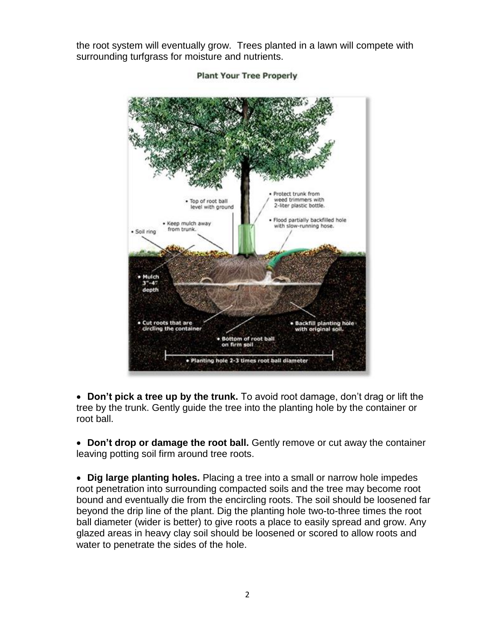the root system will eventually grow. Trees planted in a lawn will compete with surrounding turfgrass for moisture and nutrients.



**Plant Your Tree Properly** 

 **Don't pick a tree up by the trunk.** To avoid root damage, don't drag or lift the tree by the trunk. Gently guide the tree into the planting hole by the container or root ball.

 **Don't drop or damage the root ball.** Gently remove or cut away the container leaving potting soil firm around tree roots.

 **Dig large planting holes.** Placing a tree into a small or narrow hole impedes root penetration into surrounding compacted soils and the tree may become root bound and eventually die from the encircling roots. The soil should be loosened far beyond the drip line of the plant. Dig the planting hole two-to-three times the root ball diameter (wider is better) to give roots a place to easily spread and grow. Any glazed areas in heavy clay soil should be loosened or scored to allow roots and water to penetrate the sides of the hole.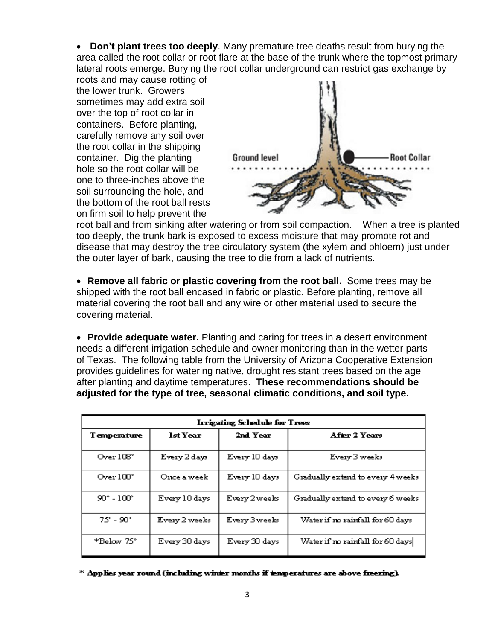**Don't plant trees too deeply**. Many premature tree deaths result from burying the area called the root collar or root flare at the base of the trunk where the topmost primary lateral roots emerge. Burying the root collar underground can restrict gas exchange by

roots and may cause rotting of the lower trunk. Growers sometimes may add extra soil over the top of root collar in containers. Before planting, carefully remove any soil over the root collar in the shipping container. Dig the planting hole so the root collar will be one to three-inches above the soil surrounding the hole, and the bottom of the root ball rests on firm soil to help prevent the



root ball and from sinking after watering or from soil compaction. When a tree is planted too deeply, the trunk bark is exposed to excess moisture that may promote rot and disease that may destroy the tree circulatory system (the xylem and phloem) just under the outer layer of bark, causing the tree to die from a lack of nutrients.

 **Remove all fabric or plastic covering from the root ball.** Some trees may be shipped with the root ball encased in fabric or plastic. Before planting, remove all material covering the root ball and any wire or other material used to secure the covering material.

 **Provide adequate water.** Planting and caring for trees in a desert environment needs a different irrigation schedule and owner monitoring than in the wetter parts of Texas. The following table from the University of Arizona Cooperative Extension provides guidelines for watering native, drought resistant trees based on the age after planting and daytime temperatures. **These recommendations should be adjusted for the type of tree, seasonal climatic conditions, and soil type.**

| Irrigating Schedule for Trees |               |               |                                   |
|-------------------------------|---------------|---------------|-----------------------------------|
| <b>Temperature</b>            | lst Year      | 2nd Year      | After 2 Years                     |
| Over $108^\circ$              | Every 2 days  | Every 10 days | Every 3 weeks                     |
| Over $100^{\circ}$            | Once a week   | Every 10 days | Gradually extend to every 4 weeks |
| $90^{\circ} - 100^{\circ}$    | Every 10 days | Every 2 weeks | Gradually extend to every 6 weeks |
| $75^{\circ}$ - $90^{\circ}$   | Every 2 weeks | Every 3 weeks | Water if no rainfall for 60 days  |
| *Below 75°                    | Every 30 days | Every 30 days | Water if no rainfall for 60 days  |

\* Applies year round (including winter months if temperatures are above freezing).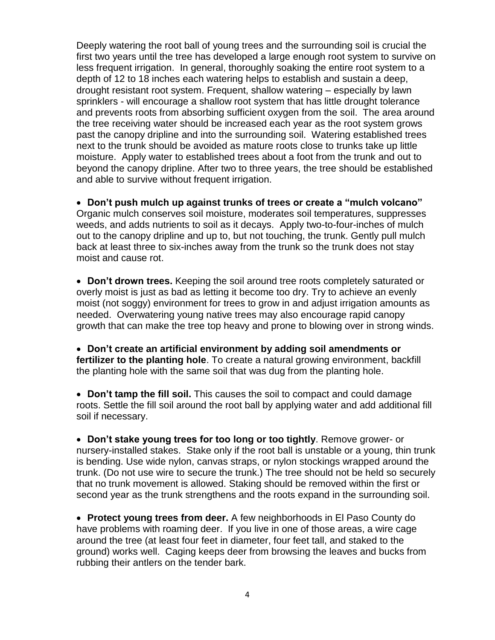Deeply watering the root ball of young trees and the surrounding soil is crucial the first two years until the tree has developed a large enough root system to survive on less frequent irrigation. In general, thoroughly soaking the entire root system to a depth of 12 to 18 inches each watering helps to establish and sustain a deep, drought resistant root system. Frequent, shallow watering – especially by lawn sprinklers - will encourage a shallow root system that has little drought tolerance and prevents roots from absorbing sufficient oxygen from the soil. The area around the tree receiving water should be increased each year as the root system grows past the canopy dripline and into the surrounding soil. Watering established trees next to the trunk should be avoided as mature roots close to trunks take up little moisture. Apply water to established trees about a foot from the trunk and out to beyond the canopy dripline. After two to three years, the tree should be established and able to survive without frequent irrigation.

 **Don't push mulch up against trunks of trees or create a "mulch volcano"** Organic mulch conserves soil moisture, moderates soil temperatures, suppresses weeds, and adds nutrients to soil as it decays. Apply two-to-four-inches of mulch out to the canopy dripline and up to, but not touching, the trunk. Gently pull mulch back at least three to six-inches away from the trunk so the trunk does not stay moist and cause rot.

 **Don't drown trees.** Keeping the soil around tree roots completely saturated or overly moist is just as bad as letting it become too dry. Try to achieve an evenly moist (not soggy) environment for trees to grow in and adjust irrigation amounts as needed. Overwatering young native trees may also encourage rapid canopy growth that can make the tree top heavy and prone to blowing over in strong winds.

 **Don't create an artificial environment by adding soil amendments or fertilizer to the planting hole**. To create a natural growing environment, backfill the planting hole with the same soil that was dug from the planting hole.

 **Don't tamp the fill soil.** This causes the soil to compact and could damage roots. Settle the fill soil around the root ball by applying water and add additional fill soil if necessary.

 **Don't stake young trees for too long or too tightly**. Remove grower- or nursery-installed stakes. Stake only if the root ball is unstable or a young, thin trunk is bending. Use wide nylon, canvas straps, or nylon stockings wrapped around the trunk. (Do not use wire to secure the trunk.) The tree should not be held so securely that no trunk movement is allowed. Staking should be removed within the first or second year as the trunk strengthens and the roots expand in the surrounding soil.

 **Protect young trees from deer.** A few neighborhoods in El Paso County do have problems with roaming deer. If you live in one of those areas, a wire cage around the tree (at least four feet in diameter, four feet tall, and staked to the ground) works well. Caging keeps deer from browsing the leaves and bucks from rubbing their antlers on the tender bark.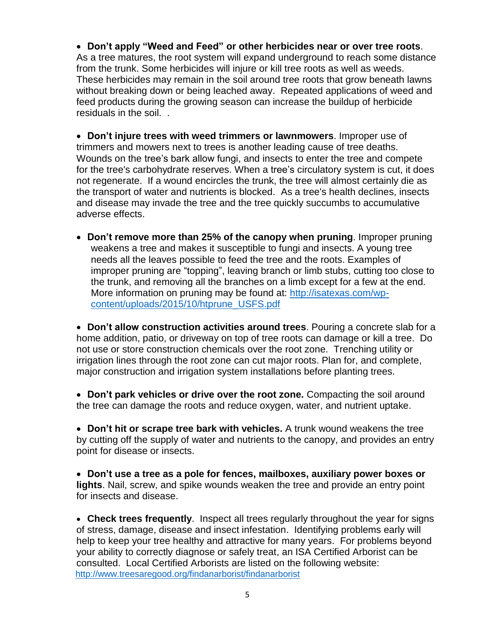**Don't apply "Weed and Feed" or other herbicides near or over tree roots**. As a tree matures, the root system will expand underground to reach some distance from the trunk. Some herbicides will injure or kill tree roots as well as weeds. These herbicides may remain in the soil around tree roots that grow beneath lawns without breaking down or being leached away. Repeated applications of weed and feed products during the growing season can increase the buildup of herbicide residuals in the soil. .

 **Don't injure trees with weed trimmers or lawnmowers**. Improper use of trimmers and mowers next to trees is another leading cause of tree deaths. Wounds on the tree's bark allow fungi, and insects to enter the tree and compete for the tree's carbohydrate reserves. When a tree's circulatory system is cut, it does not regenerate. If a wound encircles the trunk, the tree will almost certainly die as the transport of water and nutrients is blocked. As a tree's health declines, insects and disease may invade the tree and the tree quickly succumbs to accumulative adverse effects.

 **Don't remove more than 25% of the canopy when pruning**. Improper pruning weakens a tree and makes it susceptible to fungi and insects. A young tree needs all the leaves possible to feed the tree and the roots. Examples of improper pruning are "topping", leaving branch or limb stubs, cutting too close to the trunk, and removing all the branches on a limb except for a few at the end. More information on pruning may be found at: [http://isatexas.com/wp](http://isatexas.com/wp-content/uploads/2015/10/htprune_USFS.pdf)[content/uploads/2015/10/htprune\\_USFS.pdf](http://isatexas.com/wp-content/uploads/2015/10/htprune_USFS.pdf)

 **Don't allow construction activities around trees**. Pouring a concrete slab for a home addition, patio, or driveway on top of tree roots can damage or kill a tree. Do not use or store construction chemicals over the root zone. Trenching utility or irrigation lines through the root zone can cut major roots. Plan for, and complete, major construction and irrigation system installations before planting trees.

 **Don't park vehicles or drive over the root zone.** Compacting the soil around the tree can damage the roots and reduce oxygen, water, and nutrient uptake.

 **Don't hit or scrape tree bark with vehicles.** A trunk wound weakens the tree by cutting off the supply of water and nutrients to the canopy, and provides an entry point for disease or insects.

 **Don't use a tree as a pole for fences, mailboxes, auxiliary power boxes or lights**. Nail, screw, and spike wounds weaken the tree and provide an entry point for insects and disease.

 **Check trees frequently**. Inspect all trees regularly throughout the year for signs of stress, damage, disease and insect infestation. Identifying problems early will help to keep your tree healthy and attractive for many years. For problems beyond your ability to correctly diagnose or safely treat, an ISA Certified Arborist can be consulted. Local Certified Arborists are listed on the following website: <http://www.treesaregood.org/findanarborist/findanarborist>